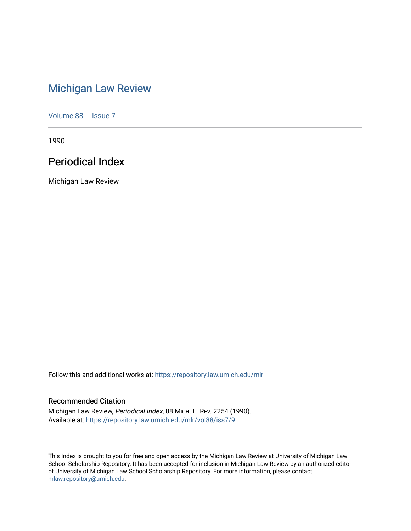# [Michigan Law Review](https://repository.law.umich.edu/mlr)

[Volume 88](https://repository.law.umich.edu/mlr/vol88) | [Issue 7](https://repository.law.umich.edu/mlr/vol88/iss7)

1990

# Periodical Index

Michigan Law Review

Follow this and additional works at: [https://repository.law.umich.edu/mlr](https://repository.law.umich.edu/mlr?utm_source=repository.law.umich.edu%2Fmlr%2Fvol88%2Fiss7%2F9&utm_medium=PDF&utm_campaign=PDFCoverPages) 

## Recommended Citation

Michigan Law Review, Periodical Index, 88 MICH. L. REV. 2254 (1990). Available at: [https://repository.law.umich.edu/mlr/vol88/iss7/9](https://repository.law.umich.edu/mlr/vol88/iss7/9?utm_source=repository.law.umich.edu%2Fmlr%2Fvol88%2Fiss7%2F9&utm_medium=PDF&utm_campaign=PDFCoverPages)

This Index is brought to you for free and open access by the Michigan Law Review at University of Michigan Law School Scholarship Repository. It has been accepted for inclusion in Michigan Law Review by an authorized editor of University of Michigan Law School Scholarship Repository. For more information, please contact [mlaw.repository@umich.edu.](mailto:mlaw.repository@umich.edu)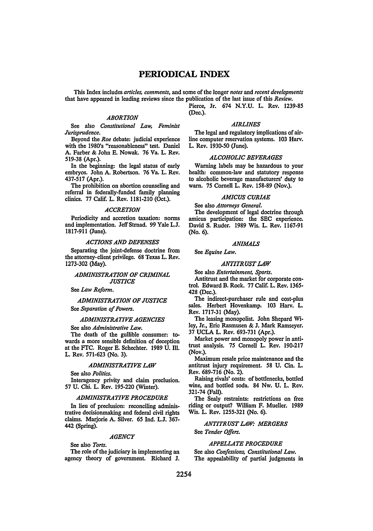## **PERIODICAL** INDEX

This Index includes *articles, comments,* and some of the longer *notes* and *recent developments*  that have appeared in leading reviews since the publication of the last issue of this *Review.* 

*ABORTION* 

See also *Constitutional Law, Feminist Jurisprudence.* 

Beyond the *Roe* debate: judicial experience with the 1980's "reasonableness" test. Daniel A. Farber & John E. Nowak. 76 Va. L. Rev. 519-38 (Apr.).

In the beginning: the legal status of early embryos. John A. Robertson. 76 Va. L. Rev. 437-517 (Apr.).

The prohibition on abortion counseling and referral in federally-funded family planning clinics. 77 Calif. L. Rev. 1181-210 (Oct.).

#### *ACCRETION*

Periodicity and accretion taxation: norms and implementation. Jeff Strnad. 99 Yale L.J. 1817-911 (June).

#### *ACTIONS AND DEFENSES*

Separating the joint-defense doctrine from the attorney-client privilege. 68 Texas L. Rev. 1273-302 (May).

#### *ADMINISTRATION OF CRIMINAL JUSTICE*

See *Law Reform.* 

*ADMINISTRATION OF JUSTICE*  See *Separation of Powers.* 

#### *ADMINISTRATIVE AGENCIES*

See also *Administrative Law.* 

The death of the gullible consumer: towards a more sensible definition of deception at the FTC. Roger E. Schechter. 1989 U. Ill. L. Rev. 571-623 (No. 3).

#### *ADMINISTRATIVE LAW*

See also *Politics.* 

Interagency privity and claim preclusion. 57 U. Chi. L. Rev. 195-220 (Winter).

#### *ADMINISTRATIVE PROCEDURE*

In lieu of preclusion: reconciling administrative decisionmaking and federal civil rights claims. Marjorie A. Silver. 65 Ind. L.J. 367- 442 (Spring).

#### *AGENCY*

See also *Torts.* 

The role of the judiciary in implementing an agency theory of government. Richard J. Pierce, Jr. 674 N.Y.U. L. Rev. 1239-85 (Dec.).

#### *AIRLINES*

The legal and regulatory implications of airline computer reservation systems. 103 Harv. L. Rev. 1930-50 (June).

#### *ALCOHOLIC BEVERAGES*

Warning labels may be hazardous to your health: common-law and statutory response to alcoholic beverage manufacturers' duty to warn. 75 Cornell L. Rev. 158-89 (Nov.).

#### *AMICUS CURIAE*

See also *Attorneys General.* 

The development of legal doctrine through amicus participation: the SEC experience. David S. Ruder. 1989 Wis. L. Rev. 1167-91 (No. 6).

#### *ANIMALS*

See *Equine Law.* 

#### *ANTITRUST LAW*

See also *Entertainment, Sports.* 

Antitrust and the market for corporate control. Edward B. Rock. 77 Calif. L. Rev. 1365- 428 (Dec.).

The indirect-purchaser rule and cost-plus sales. Herbert Hovenkamp. 103 Harv. L. Rev. 1717-31 (May).

The leasing monopolist. John Shepard Wiley, Jr., Eric Rasmusen & J. Mark Ramseyer. 37 UCLA L. Rev. 693-731 (Apr.).

Market power and monopoly power in antitrust analysis. 75 Cornell L. Rev. 190-217 (Nov.).

Maximum resale price maintenance and the antitrust injury requirement. 58 U. Cin. L. Rev. 689-716 (No. 2).

Raising rivals' costs: of bottlenecks, bottled wine, and bottled soda. 84 Nw. U. L. Rev. 321-74 (Fall).

The Sealy restraints: restrictions on free riding or output? William F. Mueller. 1989 Wis. L. Rev. 1255-321 (No. 6).

## *ANTITRUST LAW.· MERGERS*

See *Tender Offers.* 

#### *APPELLATE PROCEDURE*

See also *Confessions, Constitutional Law.*  The appealability of partial judgments in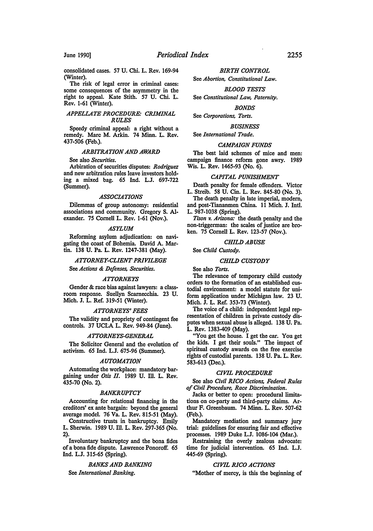consolidated cases. 57 U. Chi. L. Rev. 169-94 (Winter).

The risk of legal error in criminal cases: some consequences of the asymmetry in the right to appeal. Kate Stith. 57 U. Chi. L. Rev. 1-61 (Winter).

## *APPELLATE PROCEDURE: CRIMINAL RULES*

Speedy criminal appeal: a right without a remedy. Marc M. Arkin. 74 Minn. L. Rev. 437-506 (Feb.).

### **ARBITRATION AND AWARD**

#### See also *Securities.*

Arbiration of securities disputes: *Rodriguez*  and new arbitration rules leave investors holding a mixed bag. 65 Ind. L.J. 697-722 (Summer).

#### *ASSOCIATIONS*

Dilemmas of group autonomy: residential associations and community. Gregory S. Alexander. 75 Cornell L. Rev. 1-61 (Nov.).

#### *ASYLUM*

Reforming asylum adjudication: on navigating the coast of Bohemia. David A. Martin. 138 U. Pa. L. Rev. 1247-381 (May).

## *ATTORNEY-CLIENT PRIVILEGE*

See *Actions* & *Defenses, Securities.* 

#### *ATTORNEYS*

Gender & race bias against lawyers: a classroom response. Suellyn Scamecchia. 23 U. Mich. J. L. Ref. 319-51 (Winter).

#### *ATTORNEYS' FEES*

The validity and propriety of contingent fee controls. 37 UCLA L. Rev. 949-84 (June).

#### *ATTORNEYS-GENERAL*

The Solicitor General and the evolution of activism. 65 Ind. L.J. 675-96 (Summer).

#### *AUTOMATION*

Automating the workplace: mandatory bargaining under *Otis II*. 1989 U. Ill. L. Rev. 435-70 (No. 2).

#### *BANKRUPTCY*

Accounting for relational financing in the creditors' ex ante bargain: beyond the general average model. 76 Va. L. Rev. 815-51 (May).

Constructive trusts in bankruptcy. Emily L. Sherwin. 1989 U. Ill. L. Rev. 297-365 (No. 2).

Involuntary bankruptcy and the bona fides of a bona fide dispute. Lawrence Ponoroff. 65 Ind. L.J. 315-65 (Spring).

## *BANKS AND BANKING*

See *International Banking.* 

*BIRTH CONTROL* 

See *Abonion, Constitutional Law.* 

#### *BLOOD TESTS*

See *Constitutional Law, Paternity.* 

#### *BONDS*

See *Corporations, Tons.* 

#### *BUSINESS*

See *International Trade.* 

#### *CAMPAIGN FUNDS*

The best laid schemes of mice and men: campaign finance reform gone awry. 1989 Wis. L. Rev. 1465-93 (No. 6).

#### *CAPITAL PUNISHMENT*

Death penalty for female offenders. Victor L. Streib. 58 U. Cin. L. Rev. 845-80 (No. 3).

The death penalty in late imperial, modem, and post-Tiananmen China. 11 Mich. J. Intl. L. 987-1038 (Spring).

*Tison v. Arizona:* the death penalty and the non-triggerman: the scales of justice are broken. 75 Cornell L. Rev. 123-57 (Nov.).

#### *CHILD ABUSE*

See *Child Custody.* 

#### *CHILD CUSTODY*

See also *Torts*.

The relevance of temporary child custody orders to the formation of an established custodial environment: a model statute for uniform application under Michigan law. 23 U. Mich. J. L. Ref. 353-73 (Winter).

The voice of a child: independent legal representation of children in private custody disputes when sexual abuse is alleged. 138 U. Pa. L. Rev. 1383-409 (May).

"You get the house. I get the car. You get the kids. I get their souls." The impact of spiritual custody awards on the free exercise rights of custodial parents. 138 U. Pa. L. Rev. 583-613 (Dec.).

## *CIVIL PROCEDURE*

See also *Civil RICO Actions, Federal Rules of Civil Procedure, Race Discrimination.* 

Jacks or better to open: procedural limitations on co-party and third-party claims. Arthur F. Greenbaum. 74 Minn. L. Rev. 507-62 (Feb.).

Mandatory mediation and summary jury trial: guidelines for ensuring fair and effective processes. 1989 Duke L.J. 1086-104 (Mar.).

Restraining the overly zealous advocate: time for judicial intervention. 65 Ind. L.J. 445-69 (Spring).

#### *CIVIL RICO ACTIONS*

"Mother of mercy, is this the beginning of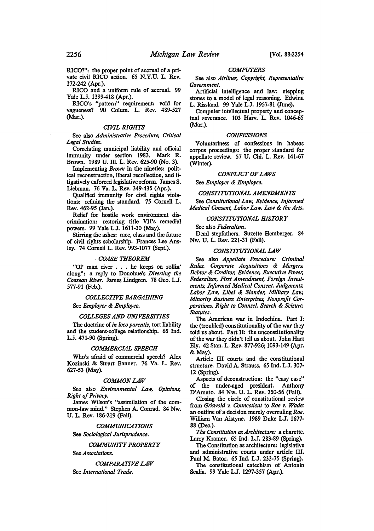RICO?": the proper point of accrual of a private civil RICO action. 65 N.Y.U. L. Rev. 172-242 (Apr.).

RICO and a uniform rule of accrual. 99 Yale L.J. 1399-418 (Apr.).

RICO's "pattern" requirement: void for vagueness? 90 Colum. L. Rev. 489-527 (Mar.).

## *CIVIL RIGHTS*

See also *Administrative Procedure, Critical Legal Studies.* 

Correlating municipal liability and official immunity under section 1983. Mark R. Brown. 1989 U. Ill. L. Rev. 625-90 (No. 3).

Implementing *Brown* in the nineties: political reconstruction, liberal recollection, and litigatively enforced legislative reform. James S. Liebman. 76 Va. L. Rev. 349-435 (Apr.).

Qualified immunity for civil rights violations: refining the standard. 75 Cornell L. Rev. 462-95 (Jan.).

Relief for hostile work environment discrimination: restoring title VIl's remedial powers. 99 Yale L.J. 1611-30 (May).

Stirring the ashes: race, class and the future of civil rights scholarship. Frances Lee Ansley. 74 Cornell L. Rev. 993-1077 (Sept.).

#### · *COASE THEOREM*

"01' man river . . . he keeps on rollin' along": a reply to Donahue's *Diverting the Coasean River.* James Lindgren. 78 Geo. L.J. 577-91 (Feb.).

#### *COLLECTIVE BARGAINING*

See *Employer* & *Employee.* 

#### *COLLEGES AND UNIVERSITIES*

The doctrine of *in loco parentis,* tort liability and the student-college relationship. 65 Ind. L.J. 471-90 (Spring).

## *COMMERCIAL SPEECH*

Who's afraid of commercial speech? Alex Kozinski & Stuart Banner. 76 Va. L. Rev. 627-53 (May).

#### *COMMON LAW*

See also *Environmental Law, Opinions, Right of Privacy.* 

James Wilson's "assimilation of the common-law mind." Stephen A. Conrad. 84 Nw. U. L. Rev. 186-219 (Fall).

*COMMUNICATIONS* 

See *Sociological Jurisprudence.* 

#### *COMMUNITY PROPERTY*

See *Associations.* 

*COMPARATIVE LAW*  See *International Trade.* 

## *COMPUTERS*

See also *Airlines, Copyright, Representative Government.* 

Artificial intelligence and law: stepping stones to a model of legal reasoning. Edwina L. Rissland. 99 Yale L.J. 1957-81 (June).

Computer intellectual property and conceptual severance. 103 Harv. L. Rev. 1046-65 (Mar.).

#### *CONFESSIONS*

Voluntariness of confessions in habeas corpus proceedings: the proper standard for appellate review. 57 U. Chi. L. Rev. 141-67 (Winter).

#### *CONFLICT OF LAWS*

See *Employer* & *Employee.* 

#### *CONSTITUTIONAL AMENDMENTS*

See *Constitutional Law, Evidence, Informed Medical Consent, Labor Law, Law* & *the Arts.* 

#### *CONSTITUTIONAL HISTORY*

See also *Federalism.* 

Dead stepfathers. Suzette Hemberger. 84 Nw. U. L. Rev. 221-31 (Fall).

## *CONSTITUTIONAL LAW*

See also *Appellate Procedure: Criminal Rules, Corporate Acquisitions* & *Mergers, Debtor* & *Creditor, Evidence, Executive Power, Federalism, First Amendment, Foreign Investments, Informed Medical Consent, Judgments, Labor Law, Libel* & *Slander, Military Law, Minority Business Enterprises, Nonprofit Corporations, Right to Counsel Search* & *Seizure, Statutes.* 

The American war in Indochina. Part I: the (troubled) constitutionality of the war they told us about. Part II: the unconstitutionality of the war they didn't tell us about. John Hart Ely. 42 Stan. L. Rev. 877-926; 1093-149 (Apr. &May).

Article III courts and the constitutional structure. David A. Strauss. 65 Ind. L.J. 307- 12 (Spring).

Aspects of deconstruction: the "easy case" of the under-aged president. Anthony D'Amato. 84 Nw. U. L. Rev. 250-56 (Fall).

Closing the circle of constitutional review from *Griswold v. Connecticut* to *Roe v. Wade:*  an outline of a decision merely overruling *Roe.*  William Van Alstyne. 1989 Duke L.J. 1677- 88 (Dec.).

*The Constitution as Architecture:* a charette. Larry Kramer. 65 Ind. L.J. 283-89 (Spring).

The Constitution as architecture: legislative and administrative courts under article III. Paul M. Bator. 65 Ind. L.J. 233-75 (Spring).

The constitutional catechism of Antonin Scalia. 99 Yale L.J. 1297-357 (Apr.).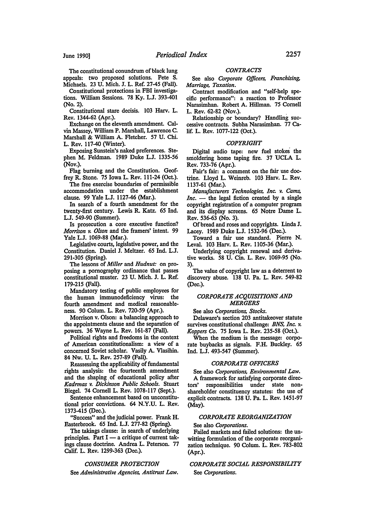The constitutional conundrum of black lung appeals: two proposed solutions. Pete S. Michaels. 23 U. Mich. J. L. Ref. 27-45 (Fall).

Constitutional protections in FBI investigations. William Sessions. 78 Ky. L.J. 393-401 (No. 2).

Constitutional stare decisis. 103 Harv. L. Rev. 1344-62 (Apr.).

Exchange on the eleventh amendment. Calvin Massey, William P. Marshall, Lawrence C. Marshall & William A. Fletcher. 57 U. Chi. L. Rev. 117-40 (Winter).

Exposing Sunstein's naked preferences. Stephen M. Feldman. 1989 Duke L.J. 1335-56 (Nov.).

Flag burning and the Constitution. Geoffrey R. Stone. 75 Iowa L. Rev. 111-24 (Oct.).

The free exercise boundaries of permissible accommodation under the establishment clause. 99 Yale L.J. 1127-46 (Mar.).

In search of a fourth amendment for the twenty-first century. Lewis R. Katz. 65 Ind. L.J. 549-90 (Summer).

Is prosecution a core executive function? *Morrison v. Olson* and the framers' intent. 99 Yale L.J. 1069-88 (Mar.).

Legislative courts, legislative power, and the Constitution. Daniel J. Meltzer. 65 Ind. L.J. 291-305 (Spring).

The lessons of *Miller* and *Hudnut:* on proposing a pornography ordinance that passes constitutional muster. 23 U. Mich. J. L. Ref. 179-215 (Fall).

Mandatory testing of public employees for the human immunodeficiency virus: the fourth amendment and medical reasonableness. 90 Colum. L. Rev. 720-59 (Apr.).

Morrison v. Olson: a balancing approach to the appointments clause and the separation of powers. 36 Wayne L. Rev. 161-87 (Fall).

Political rights and freedoms in the context of American constitutionalism: a view of a concerned Soviet scholar. Vasily A. Vlasihin. 84 Nw. U. L. Rev. 257-89 (Fall).

Reassessing the applicability of fundamental rights analysis: the fourteenth amendment and the shaping of educational policy after *Kadrmas v. Dickinson Public Schools.* Stuart Biegel. 74 Cornell L. Rev. 1078-117 (Sept.).

Sentence enhancement based on unconstitutional prior convictions. 64 N.Y.U. L. Rev. 1373-415 (Dec.).

"Success" and the judicial power. Frank H. Easterbrook. 65 Ind. L.J. 277-82 (Spring).

The takings clause: in search of underlying principles. Part  $I - a$  critique of current takings clause doctrine. Andrea L. Peterson. 77 Calif. L. Rev. 1299-363 (Dec.).

#### *CONSUMER PROTECTION*

See *Administrative Agencies, Antitrust Law.* 

#### *CONTRACTS*

See also *Corporate Officers, Franchising, Marriage, Taxation.* 

Contract modification and "self-help specific performance": a reaction to Professor Narasimhan. Robert A. Hillman. 75 Cornell L. Rev. 62-82 (Nov.).

Relationship or boundary? Handling successive contracts. Subha Narasimhan. 77 Calif. L. Rev. 1077-122 (Oct.).

#### *COPYRIGHT*

Digital audio tape: new fuel stokes the smoldering home taping fire. 37 UCLA L. Rev. 733-76 (Apr.).

Fair's fair: a comment on the fair use doctiine. Lloyd L. Weinreb. 103 Harv. L. Rev. 1137-61 (Mar.).

*Manufacturers Technologies, Inc. v. Cams,*   $Inc.$  — the legal fiction created by a single copyright registration of a computer program and its display screens. 65 Notre Dame L. Rev. 536-63 (No. 3).

Of bread and roses and copyrights. Linda J. Lacey. 1989 Duke L.J. 1532-96 (Dec.).

Toward a fair use standard. Pierre N. Leval. 103 Harv. L. Rev. 1105-36 (Mar.).

Underlying copyright renewal and derivative works. 58 U. Cin. L. Rev. 1069-95 (No. 3).

The value of copyright law as a deterrent to discovery abuse. 138 U. Pa. L. Rev. 549-82 (Dec.).

## *CORPORATE ACQUISITIONS AND MERGERS*

See also *Corporations, Stocks.* 

Delaware's section 203 antitakeover statute survives constitutional challenge: *BNS, Inc. v. Koppers Co.* 75 Iowa L. Rev. 235-58 (Oct.).

When the medium is the message: corporate buybacks as signals. F.H. Buckley. 65 Ind. L.J. 493-547 (Summer).

### *CORPORATE OFFICERS*

See also *Corporations, Environmental Law.* 

A framework for satisfying corporate directors' responsibilities under state nonshareholder constituency statutes: the use of explicit contracts. 138 U. Pa. L. Rev. 1451-97 (May).

#### *CORPORATE REORGANIZATION*

#### See also *Corporations.*

Failed markets and failed solutions: the unwitting formulation of the corporate reorganization technique. 90 Colum. L. Rev. 783-802 (Apr.).

## *CORPORATE SOCIAL RESPONSIBILITY*  See *Corporations.*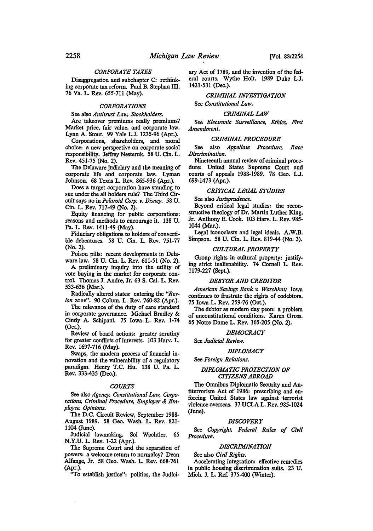## *CORPORATE TAXES*

Disaggregation and subchapter C: rethinking corporate tax reform. Paul B. Stephan III. 76 Va. L. Rev. 655-711 (May).

#### *CORPORATIONS*

See also *Antitrust Law, Stockholders.* 

Are takeover premiums really premiums? Market price, fair value, and corporate law. Lynn A. Stout. 99 Yale L.J. 1235-96 (Apr.).

Corporations, shareholders, and moral choice: a new perspective on corporate social responsibility. Jeffrey Nesteruk. 58 U. Cin. L. Rev. 451-75 (No. 2).

The Delaware judiciary and the meaning of corporate life and corporate law. Lyman Johnson. 68 Texas L. Rev. 865-936 (Apr.).

Does a target corporation have standing to sue under the all holders rule? The Third Circuit says no in *Polaroid Corp. v. Disney.* 58 U. Cin. L. Rev. 717-49 (No. 2).

Equity financing for public corporations: reasons and methods to encourage it. 138 U. Pa. L. Rev. 1411-49 (May).

Fiduciary obligations to holders of convertible debentures. 58 U. Cin. L. Rev. 751-77 (No. 2).

Poison pills: recent developments in Delaware law. 58 U. Cin. L. Rev. 611-51 (No. 2).

A preliminary inquiry into the utility of vote buying in the market for corporate control. Thomas J. Andre, Jr. 63 S. Cal. L. Rev. 533-636 (Mar.).

Radically altered states: entering the *"Revlon* zone". 90 Colum. L. Rev. 760-82 (Apr.).

The relevance of the duty of care standard in corporate governance. Michael Bradley & Cindy A. Schipani. 75 Iowa L. Rev. 1-74 (Oct.).

Review of board actions: greater scrutiny for greater conflicts of interests. 103 Harv. L. Rev. 1697-716 (May).

Swaps, the modern process of financial innovation and the vulnerability of a regulatory paradigm. Henry T.C. Hu. 138 U. Pa. L. Rev. 333-435 (Dec.).

#### *COURTS*

See also *Agency, Constitutional Law, Corporations, Criminal Procedure, Employer* & *Employee, Opinions.* 

The D.C. Circuit Review, September 1988- August 1989. 58 Geo. Wash. L. Rev. 821- 1104 (June).

Judicial lawmaking. Sol Wachtler. 65 N.Y.U. L. Rev. 1-22 (Apr.).

The Supreme Court and the separation of powers: a welcome return to normalcy? Dean Alfange, Jr. 58 Geo. Wash. L. Rev. 668-761 (Apr.).

"To establish justice": politics, the Judici-

ary Act of 1789, and the invention of the federal courts. Wythe Holt. 1989 Duke L.J. 1421-531 (Dec.).

#### *CRIMINAL INVESTIGATION*

See *Constitutional Law.* 

#### *CRIMINAL LAW*

See *Electronic Surveillance, Ethics, First Amendment.* 

## *CRIMINAL PROCEDURE*

See also *Appellate Procedure, Race Discrimination.* 

Nineteenth annual review of criminal procedure: United States Supreme Court and courts of appeals 1988-1989. 78 Geo. L.J. 699-1473 (Apr.).

#### *CRITICAL LEGAL STUDIES*

See also *Jurisprudence.* 

Beyond critical legal studies: the reconstructive theology of Dr. Martin Luther King, Jr. Anthony E. Cook. 103 Harv. L. Rev. 985- 1044 (Mar.).

Legal iconoclasts and legal ideals. A.W.B. Simpson. 58 U. Cin. L. Rev. 819-44 (No. 3).

#### *CULTURAL PROPERTY*

Group rights in cultural property: justifying strict inalienability. 74 Cornell L. Rev. 1179-227 (SepL).

#### *DEBTOR AND CREDITOR*

*American Savings Bank v. Waschkat:* Iowa continues to frustrate the rights of codebtors. 75 Iowa L. Rev. 259-76 (Oct.).

The debtor as modern day peon: a problem of unconstitutional conditions. Karen Gross. 65 Notre Dame L. Rev. 165-205 (No. 2).

#### *DEMOCRACY*

See *Judicial Review.* 

## *DIPLOMACY*

See *Foreign Relations.* 

#### *DIPLOMATIC PROTECTION OF CITIZENS ABROAD*

The Omnibus Diplomatic Security and Antiterrorism Act of 1986: prescribing and enforcing United States law against terrorist violence overseas. 37 UCLA L. Rev. 985-1024 (June).

#### *DISCOVERY*

See *Copyright, Federal Rules of Civil Procedure.* 

## *DISCRIMINATION*

See also *Civil Rights.* 

Accelerating integration: effective remedies in public housing discrimination suits. 23 U. Mich. J. L. Ref. 375-400 (Winter).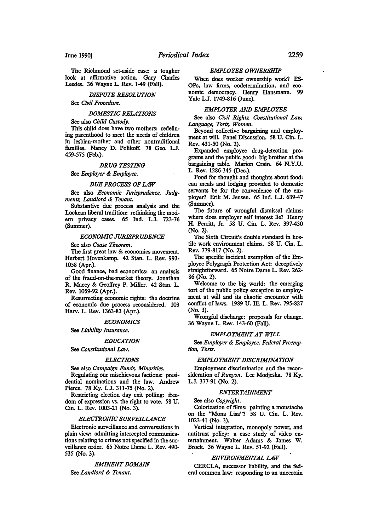The Richmond set-aside case: a tougher look at affirmative action. Gary Charles Leedes. 36 Wayne L. Rev. 1-49 (Fall).

## *DISPUTE RESOLUTION*

See *Civil Procedure.* 

#### *DOMESTIC RELATIONS*

See also *Child Custody.* 

This child does have two mothers: redefining parenthood to meet the needs of children in lesbian-mother and other nontraditional families. Nancy D. Polikoff. 78 Geo. L.J. 459-575 (Feb.).

#### *DRUG TESTING*

See *Employer* & *Employee.* 

#### *DUE PROCESS OF LAW*

See also *Economic Jurisprudence, Judgments. Londlord* & *Tenant.* 

Substantive due process analysis and the Lockean liberal tradition: rethinking the modem privacy cases. 65 Ind. LJ. 723-76 (Summer).

## *ECONOMIC JURISPRUDENCE*

See also *Coase Theorem.* 

The first great law & economics movement. Herbert Hovenkamp. 42 Stan. L. Rev. 993- 1058 (Apr.).

Good finance, bad economics: an analysis of the fraud-on-the-market theory. Jonathan R. Macey & Geoffrey P. Miller. 42 Stan. L. Rev. 1059-92 (Apr.).

Resurrecting economic rights: the doctrine of economic due process reconsidered. 103 Harv. L. Rev. 1363-83 (Apr.).

#### *ECONOMICS*

See *Liability Insurance.* 

#### *EDUCATION*

See *Constitutional Low.* 

#### *ELECTIONS*

See also *Campaign Funds, Minorities.* 

Regulating our mischievous factions: presidential nominations and the law. Andrew Pierce. 78 Ky. L.J. 311-75 (No. 2).

Restricting election day exit polling: freedom of expression vs. the right to vote. 58 U. Cin. L. Rev. 1003-21 (No. 3).

## *ELECTRONIC SURVEILLANCE*

Electronic surveillance and conversations in plain view: admitting intercepted communications relating to crimes not specified in the surveillance order. 65 Notre Dame L. Rev. 490- 535 (No. 3).

## *EMINENT DOMAIN*

See *Londlord* & *Tenant.* 

#### *EMPLOYEE OWNERSHIP*

When does worker ownership work? ES-OPs, law firms, codetermination, and economic democracy. Henry Hansmann. 99 Yale LJ. 1749-816 (June).

#### *EMPLOYER AND EMPLOYEE*

See also *Civil Rights, Constitutional Low, Longuage, Torts, Women.* 

Beyond collective bargaining and employment at will. Panel Discussion. 58 U. Cin. L. Rev. 431-50 (No. 2).

Expanded employee drug-detection programs and the public good: big brother at the bargaining table. Marion Crain. 64 N.Y.U. L. Rev. 1286-345 (Dec.).

Food for thought and thoughts about food: can meals and lodging provided to domestic servants be for the convenience of the employer? Erik M. Jensen. 65 Ind. L.J. 639-47 (Summer).

The future of wrongful dismissal claims: where does employer self interest lie? Henry H. Perritt, Jr. 58 U. Cin. L. Rev. 397-430 (No. 2).

The Sixth Circuit's double standard in hostile work environment claims. 58 U. Cin. L. Rev. 779-817 (No. 2).

The specific incident exemption of the Employee Polygraph Protection Act: deceptively straightforward. 65 Notre Dame L. Rev. 262- 86 (No. 2).

Welcome to the big world: the emerging tort of the public policy exception to employment at will and its chaotic encounter with conflict of laws. 1989 U. Ill. L. Rev. 795-827 (No. 3).

Wrongful discharge: proposals for change. 36 Wayne L. Rev. 143-60 (Fall).

#### *EMPLOYMENT AT WILL*

See *Employer* & *Employee, Federal Preemption, Torts.* 

## *EMPLOYMENT DISCRIMINATION*

Employment discrimination and the reconsideration of *Runyon.* Lee Modjeska. 78 Ky. L.J. 377-91 (No. 2).

#### *ENTERTAINMENT*

See also *Copyright.* 

Colorization of films: painting a moustache on the "Mona Lisa"? 58 U. Cin. L. Rev. 1023-41 (No. 3).

Vertical integration, monopoly power, and antitrust policy: a case study of video entertainment. Walter Adams & James W. Brock. 36 Wayne L. Rev. 51-92 (Fall).

#### *ENVIRONMENTAL LAW*

CERCLA, successor liability, and the federal common law: responding to an uncertain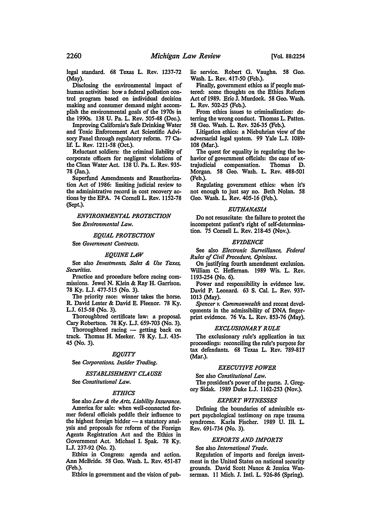legal standard. 68 Texas L. Rev. 1237-72 (May).

Disclosing the environmental impact of human activities: how a federal pollution control program based on individual decision making and consumer demand might accomplish the environmental goals of the 1970s in the 1990s. 138 U. Pa. L. Rev. 505-48 (Dec.).

Improving California's Safe Drinking Water and Toxic Enforcement Act Scientific Advisory Panel through regulatory reform. 77 Calif. L. Rev. 1211-58 (Oct.).

Reluctant soldiers: the criminal liability of corporate officers for negligent violations of the Clean Water Act. 138 U. Pa. L. Rev. 935- 78 (Jan.).

Superfund Amendments and Reauthorization Act of 1986: limiting judicial review to the administrative record in cost recovery actions by the EPA. 74 Cornell L. Rev. 1152-78 (Sept.).

*ENVIRONMENTAL PROTECTION* 

See *Environmental Law.* 

### *EQUAL PROTECTION*

See *Government Contracts.* 

#### *EQUINE LAW*

See also *Investments, Sales* & *Use Taxes, Securities.* 

Practice and procedure before racing commissions. Jewel N. Klein & Ray H. Garrison. 78 Ky. L.J. 477-515 (No. 3).

The priority race: winner takes the horse. R. David Lester & David E. Fleenor. 78 Ky. L.J. 615-58 (No. 3).

Thoroughbred certificate law: a proposal. Cary Robertson. 78 Ky. L.J. 659-703 (No. 3).

Thoroughbred racing - getting back on track. Thomas H. Meeker. 78 Ky. L.J. 435- 45 (No. 3).

#### *EQUITY*

See *Corporations, Insider Trading.* 

#### *ESTABLISHMENT CLAUSE*

See *Constitutional Law.* 

#### *ETHICS*

See also *Law* & *the Arts, Liability Insurance.*  America for sale: when well-connected former federal officials peddle their influence to the highest foreign bidder  $-$  a statutory analysis and proposals for reform of the Foreign Agents Registration Act and the Ethics in Government Act. Michael I. Spak. 78 Ky. L.J. 237-92 (No. 2).

Ethics in Congress: agenda and action. Ann McBride. 58 Geo. Wash. L. Rev. 451-87 (Feb.).

Ethics in government and the vision of pub-

lie service. Robert G. Vaughn. 58 Geo. Wash. L. Rev. 417-50 (Feb.).

Finally, government ethics as if people mattered: some thoughts on the Ethics Reform Act of 1989. Eric J. Murdock. 58 Geo. Wash. L. Rev. 502-25 (Feb.).

From ethics issues to criminalization: deterring the wrong conduct. Thomas L. Patten. 58 Geo. Wash. L. Rev. 526-35 (Feb.).

Litigation ethics: a Niebuhrian view of the adversarial legal system. 99 Yale L.J. 1089- 108 (Mar.).

The quest for equality in regulating the behavior of government officials: the case of extrajudicial compensation. Thomas D. Morgan. 58 Geo. Wash. L. Rev. 488-501 (Feb.).

Regulating government ethics: when it's not enough to just say no. Beth Nolan. 58 Geo. Wash. L. Rev. 405-16 (Feb.).

#### *EUTHANASIA*

Do not resuscitate: the failure to protect the incompetent patient's right of self-determination. 75 Cornell L. Rev. 218-45 (Nov.).

#### *EVIDENCE*

See also *Electronic Sun•eillance, Federal Rules of Civil Procedure, Opinions.* 

On justifying fourth amendment exclusion. William C. Heffernan. 1989 Wis. L. Rev. 1193-254 (No. 6).

Power and responsibility in evidence law. David P. Leonard. 63 S. Cal. L. Rev. 937- 1013 (May).

*Spencer v. Commonwealth* and recent developments in the admissibility of DNA fingerprint evidence. 76 Va. L. Rev. 853-76 (May).

#### *EXCLUSIONARY RULE*

The exclusionary rule's application in tax proceedings: reconciling the rule's purpose for tax defendants. 68 Texas L. Rev. 789-817 (Mar.).

#### *EXECUTIVE POWER*

See also *Constitutional Law.*  The president's power of the purse. J. Gregory Sidak. 1989 Duke L.J. 1162-253 (Nov.).

#### *EXPERT WITNESSES*

Defining the boundaries of admissible expert psychological testimony on rape trauma syndrome. Karla Fischer. 1989 U. Ill. L. Rev. 691-734 (No. 3).

## *EXPORTS AND IMPORTS*

See also *International Trade.* 

Regulation of imports and foreign investment in the United States on national security grounds. David Scott Nance & Jessica Wasserman. 11 Mich. J. Intl. L. 926-86 (Spring).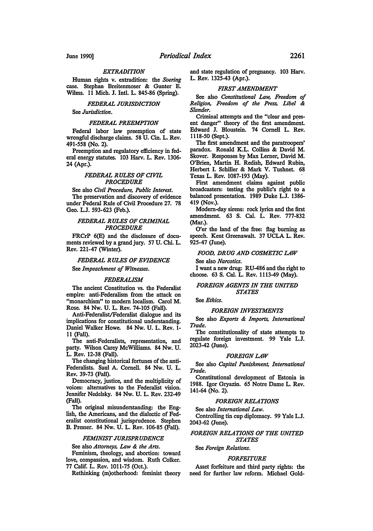## *EXTRADITION*

Human rights v. extradition: the *Soering*  case. Stephan Breitenmoser & Gunter E. Wilms. 11 Mich. J. Intl. L. 845-86 (Spring).

## *FEDERAL JURISDICTION*

See *Jurisdiction.* 

## *FEDERAL PREEMPTION*

Federal labor law preemption of state wrongful discharge claims. 58 U. Cin. L. Rev. 491-558 (No. 2).

Preemption and regulatory efficiency in federal energy statutes. 103 Harv. L. Rev. 1306- 24 (Apr.).

#### *FEDERAL RULES OF CIVIL PROCEDURE*

See also *Civil Procedure, Public Interest.*  The preservation and discovery of evidence under Federal Rule of Civil Procedure 27. 78 Geo. L.J. 593-623 (Feb.).

#### *FEDERAL RULES OF CRIMINAL PROCEDURE*

FRCrP 6(E) and the disclosure of documents reviewed by a grand jury. 57 U. Chi. L. Rev. 221-47 (Winter).

#### *FEDERAL RULES OF EVIDENCE*

See *Impeachment of Witnesses.* 

#### *FEDERALISM*

The ancient Constitution vs. the Federalist empire: anti-Federalism from the attack on "monarchism" to modem localism. Carol M. Rose. 84 Nw. U. L. Rev. 74-105 (Fall).

Anti-Federalist/Federalist dialogue and its implications for constitutional understanding. Daniel Walker Howe. 84 Nw. U. L. Rev. 1- 11 (Fall).

The anti-Federalists, representation, and party. Wilson Carey McWilliams. 84 Nw. U. L. Rev. 12-38 (Fall).

The changing historical fortunes of the anti-Federalists. Saul A. Cornell. 84 Nw. U. L. Rev. 39-73 (Fall).

Democracy, justice, and the multiplicity of voices: alternatives to the Federalist vision. Jennifer Nedelsky. 84 Nw. U. L. Rev. 232-49 (Fall).

The original misunderstanding: the English, the Americans, and the dialectic of Federalist constitutional jurisprudence. Stephen B. Presser. 84 Nw. U. L. Rev. 106-85 (Fall).

## *FEMINIST JURISPRUDENCE*

See also *Attorneys, Law* & *the Arts.* 

Feminism, theology, and abortion: toward love, compassion, and wisdom. Ruth Colker. 77 Calif. L. Rev. 1011-75 (Oct.).

Rethinking (m)otherhood: feminist theory

and state regulation of pregnancy. 103 Harv. L. Rev. 1325-43 (Apr.).

#### *FIRST AMENDMENT*

See also *Constitutional Law, Freedom of Religion, Freedom of the Press, Libel* & *Slander.* 

Criminal attempts and the "clear and present danger" theory of the first amendment. Edward J. Bloustein. 74 Cornell L. Rev. 1118-50 (Sept.).

The first amendment and the paratroopers' paradox. Ronald K.L. Collins & David M. Skover. Responses by Max Lerner, David M. O'Brien, Martin H. Redish, Edward Rubin, Herbert I. Schiller & Mark V. Tushnet. 68 Texas L. Rev. 1087-193 (May).

First amendment claims against public broadcasters: testing the public's right to a balanced presentation. 1989 Duke L.J. 1386- 419 (Nov.).

Modem-day sirens: rock lyrics and the first amendment. 63 S. Cal. L. Rev. 777-832 (Mar.).

O'er the land of the free: flag burning as speech. Kent Greenawalt. 37 UCLA L. Rev. 925-47 (June).

#### *FOOD, DRUG AND COSMETIC LAW*

See also *Narcotics.* 

I want a new drug: RU-486 and the right to choose. 63 S. Cal. L. Rev. 1113-49 (May).

#### *FOREIGN AGENTS IN THE UNITED STATES*

See *Ethics.* 

## *FOREIGN INVESTMENTS*

See also *Exports* & *Imports, International Trade.* 

The constitutionality of state attempts to regulate foreign investment. 99 Yale L.J. 2023-42 (June).

#### *FOREIGN LAW*

See also *Capital Punishment, International Trade.* 

Constitutional development of Estonia in 1988. Igor Gryazin. 65 Notre Dame L. Rev. 141-64 (No. 2).

## *FOREIGN RELATIONS*

See also *International Law.*  Controlling tin cup diplomacy. 99 Yale L.J.

2043-62 (June).

## *FOREIGN RELATIONS OF THE UNITED STATES*

## See *Foreign Relations.*

## *FORFEITURE*

Asset forfeiture and third party rights: the need for further law reform. Michael Gold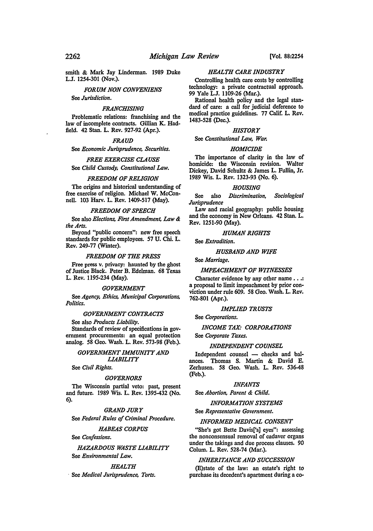smith & Mark Jay Linderman. 1989 Duke LJ. 12S4-301 (Nov.).

*FORUM NON CONVENIENS* 

See *Jurisdiction.* 

## *FRANCHISING*

Problematic relations: franchising and the law of incomplete contracts. Gillian K. Hadfield. 42 Stan. L. Rev. 927-92 (Apr.).

#### *FRAUD*

See *Economic Jurisprudence, Securities.* 

*FREE EXERCISE CLAUSE*  See *Child Custody, Constitutional Law.* 

## *FREEDOM OF RELIGION*

The origins and historical understanding of free exercise of religion. Michael W. McConnell. 103 Harv. L. Rev. 1409-517 (May).

#### *FREEDOM OF SPEECH*

See also *Elections, First Amendment, Law* & *the Arts.* 

Beyond "public concern": new free speech standards for public employees. 57 U. Chi. L. Rev. 249-77 (Winter).

#### *FREEDOM OF THE PRESS*

Free press v. privacy: haunted by the ghost of Justice Black. Peter B. Edelman. 68 Texas L. Rev. 1195-234 (May).

#### *GOVERNMENT*

See *Agency, Ethics, Municipal Corporations, Politics.* 

## *GOVERNMENT CONTRACTS*

See also *Products Liability.*  Standards of review of specifications in government procurements: an equal protection analog. 58 Geo. Wash. L. Rev. 573-98 (Feb.).

## *GOVERNMENT IMMUNITY AND LIABILITY*

See *Civil Rights.* 

#### *GOVERNORS*

The Wisconsin partial veto: past, present and future. 1989 Wis. L. Rev. 1395-432 (No. 6).

#### *GRAND JURY*

See *Federal Rules of Criminal Procedure.* 

#### *HABEAS CORPUS*

See *Confessions.* 

## *HAZARDOUS WASTE LIABILITY*  See *Environmental Law.*

## *HEALTH*

, See *Medical Jurisprudence, Torts.* 

## *HEALTH CARE INDUSTRY*

Controlling health care costs by controlling technology: a private contractual approach. 99 Yale LJ. 1109-26 (Mar.).

Rational health policy and the legal standard of care: a call for judicial deference to medical practice guidelines. 77 Calif. L. Rev. 1483-S28 (Dec.).

## *HISTORY*

See *Constitutional Law, War.* 

#### *HOMICIDE*

The importance of clarity in the law of homicide: the Wisconsin revision. Walter Dickey, David Schultz & James L. Fullin, Jr. 19S9 Wis. L. Rev. 1323-93 (No. 6).

## *HOUSING*

See also *Discrimination, Sociological Jurisprudence* 

Law and racial geography: public housing and the economy in New Orleans. 42 Stan. L. Rev. 1251·90 (May).

#### *HUMAN RIGHTS*

See *Extradition.* 

#### *HUSBAND AND WIFE*

See *Marriage.* 

## *IMPEACHMENT OF WITNESSES*

Character evidence by any other name . . .: a proposal to limit impeachment by prior con· viction under rule 609. SS Geo. Wash. L. Rev. 762-SOl (Apr.).

#### *IMPLIED TRUSTS*

See *Corporations.* 

#### *INCOME TAX: CORPORATIONS*

See *Corporate Taxes.* 

#### *INDEPENDENT COUNSEL*

Independent counsel - checks and balances. Thomas S. Martin & David E. Zerhusen. SS Geo. Wash. L. Rev. S36-4S (Feb.).

#### *INFANTS*

See *Abortion, Parent* & *Child.* 

*INFORMATION SYSTEMS* 

See *Representative Government.* 

#### *INFORMED MEDICAL CONSENT*

"She's got Bette Davis['s] eyes": assessing the nonconsensual removal of cadaver organs under the takings and due process clauses. 90 Colum. L. Rev. S2S-74 (Mar.).

#### *INHERITANCE AND SUCCESSION*

(E)state of the law: an estate's right to purchase its decedent's apartment during a co-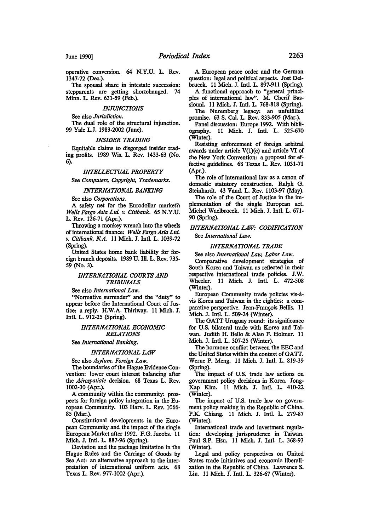operative conversion. 64 N.Y.U. L. Rev. 1347-72 (Dec.).

The spousal share in intestate succession: stepparents are getting shortchanged. 74 Minn. L. Rev. 631-59 (Feb.).

#### *INJUNCTIONS*

See also *Jurisdiction.* 

The dual role of the structural injunction. 99 Yale L.J. 1983-2002 (June).

#### *INSIDER TRADING*

Equitable claims to disgorged insider trading profits. 1989 Wis. L. Rev. 1433-63 (No. 6).

#### *INTELLECTUAL PROPERTY*

See *Computers, Copyright, Trademarks.* 

## *INTERNATIONAL BANKING*

See also *Corporations.* 

A safety net for the Eurodollar market?: *Wells Fargo Asia Ltd. v. Citibank.* 65 N.Y.U. L. Rev. 126-71 (Apr.).

Throwing a monkey wrench into the wheels of international finance: *Wells Fargo Asia Ltd. v. Citibank, N.A.* 11 Mich. J. Intl. L. 1039-72 (Spring).

United States home bank liability for foreign branch deposits. 1989 U. Ill. L. Rev. 735- 59 (No. 3).

#### *INTERNATIONAL COURTS AND TRIBUNALS*

See also *International Law.* 

"Normative surrender" and the "duty" to appear before the International Court of Justice: a reply. H.W.A. Thirlway. 11 Mich. J. Intl. L. 912-25 (Spring).

### *INTERNATIONAL ECONOMIC RELATIONS*

See *International Banking.* 

#### *INTERNATIONAL LAW*

See also *Asylum, Foreign Law.* 

The boundaries of the Hague Evidence Convention: lower court interest balancing after the *Aerospatiale* decision. 68 Texas L. Rev. 1003-30 (Apr.).

A community within the community: prospects for foreign policy integration in the European Community. 103 Harv. L. Rev. 1066- 85 (Mar.).

Constitutional developments in the European Community and the impact of the single European Market after 1992. F.G. Jacobs. 11 Mich. J. Intl. L. 887-96 (Spring).

Deviation and the package limitation in the Hague Rules and the Carriage of Goods by Sea Act: an alternative approach to the interpretation of international uniform acts. 68 Texas L. Rev. 977-1002 (Apr.).

A European peace order and the German question: legal and political aspects. Jost Delbrueck. 11 Mich. J. Intl. L. 897-911 (Spring).

A functional approach to "general principles of international law". M. Cherif Bas-

siouni. 11 Mich. J. Intl. L. 768-818 (Spring). The Nuremberg legacy: an unfulfilled

promise. 63 S. Cal. L. Rev. 833-905 (Mar.). Panel discussion: Europe 1992. With bibli-<br>ography. 11 Mich. J. Intl. L. 525-670 11 Mich. J. Intl. L. 525-670 (Winter).

Resisting enforcement of foreign arbitral awards under article V(l)(e) and article VI of the New York Convention: a proposal for effective guidelines. 68 Texas L. Rev. 1031-71 (Apr.).

The role of international law as a canon of domestic statutory construction. Ralph G. Steinhardt. 43 Vand. L. Rev. 1103-97 (May).

The role of the Court of Justice in the implementation of the single European act. Michel Waelbroeck. 11 Mich. J. Intl. L. 671- 90 (Spring).

## *INTERNATIONAL LAW: CODIFICATION*  See *International Law.*

#### *INTERNATIONAL TRADE*

See also *International Law, Labor Law.* 

Comparative development strategies of South Korea and Taiwan as reflected in their respective international trade policies. J.W. Wheeler. 11 Mich. J. Intl. L. 472-508 (Winter).

European Community trade policies vis-avis Korea and Taiwan in the eighties: a comparative perspective. Jean-François Bellis. 11 Mich. J. Intl. L. 509-24 (Winter).

The GATT Uruguay round: its significance for U.S. bilateral trade with Korea and Taiwan. Judith H. Bello & Alan F. Holmer. 11 Mich. J. Intl. L. 307-25 (Winter).

The hormone conflict between the EEC and the United States within the context of GATT. Werne P. Meng. 11 Mich. J. Intl. L. 819-39 (Spring).

The impact of U.S. trade law actions on government policy decisions in Korea. Jong-Kap Kim. 11 Mich. J. Intl. L. 410-22 (Winter).

The impact of U.S. trade law on government policy making in the Republic of China. P.K. Chiang. 11 Mich. J. Intl. L. 279-87 (Winter).

International trade and investment regulation: developing jurisprudence in Taiwan. Paul S.P. Hsu. 11 Mich. J. Intl. L. 368-93 (Winter).

Legal and policy perspectives on United States trade initiatives and economic liberalization in the Republic of China. Lawrence S. Liu. 11 Mich. J. Intl. L. 326-67 (Winter).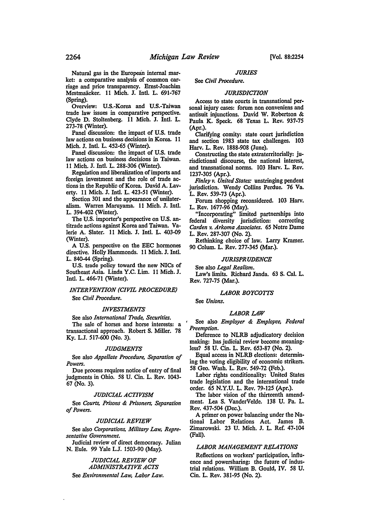Natural gas in the European internal market: a comparative analysis of common carriage and price transparency. Ernst-Joachim Mestmaäcker. 11 Mich. J. Intl. L. 691-767 (Spring).

Overview: U.S.-Korea and U.S.-Taiwan trade law issues in comparative perspective. Clyde D. Stoltenberg. 11 Mich. J. Intl. L. 273-78 (Winter).

Panel discussion: the impact of U.S. trade law actions on business decisions in Korea. 11 Mich. J. Intl. L. 452-65 (Winter).

Panel discussion: the impact of U.S. trade law actions on business decisions in Taiwan. 11 Mich. J. Intl. L. 288-306 (Winter).

Regulation and liberalization of imports and foreign investment and the role of trade actions in the Republic of Korea. David A. Laverty. 11 Mich. J. Intl. L. 423-51 (Winter).

Section 301 and the appearance of unilateralism. Warren Maruyama. 11 Mich. J. Intl. L. 394-402 (Winter).

The U.S. importer's perspective on U.S. antitrade actions against Korea and Taiwan. Valerie A. Slater. 11 Mich. J. Intl. L. 403-09 (Winter).

A U.S. perspective on the EEC hormones directive. Holly Hammonds. 11 Mich. J. Intl. L. 840-44 (Spring).

U.S. trade policy toward the new NICs of Southeast Asia. Linda Y.C. Lim. 11 Mich. J. Intl. L. 466-71 (Wmter).

## *INTERVENTION (CIVIL PROCEDURE)*  See *Civil Procedure.*

## *INVESTMENTS*

See also *International Trade, Securities.*  The sale of horses and horse interests: a transactional approach. Robert S. Miller. 78 Ky. L.J. 517-600 (No. 3).

#### *JUDGMENTS*

See also *Appellate Procedure, Separation of Powers.* 

Due process requires notice of entry of final judgments in Ohio. 58 U. Cin. L. Rev. 1043- 67 (No. 3).

#### *JUDICIAL ACTIVISM*

See *Courts, Prisons* & *Prisoners, Separation of Powers.* 

#### *JUDICIAL REVIEW*

See also *Corporations, Military Law, Representative Government.* 

Judicial review of direct democracy. Julian N. Eule. 99 Yale L.J. 1503-90 (May).

#### *JUDICIAL REVIEW OF ADMINISTRATIVE ACTS*

#### See *Environmental Law, Labor Law.*

## *JURIES*

#### See *Civil Procedure.*

#### *JURISDICTION*

Access to state courts in transnational personal injury cases: forum non conveniens and antisuit injunctions. David W. Robertson & Paula K. Speck. 68 Texas L. Rev. 937-75 (Apr.).

Clarifying comity: state court jurisdiction and section 1983 state tax challenges. 103 Harv. L. Rev. 1888-908 (June).

Constructing the state extraterritorially: jurisdictional discourse, the national interest, and transnational norms. 103 Harv. L. Rev. 1237-305 (Apr.).

*Finley v. United States:* unstringing pendent jurisdiction. Wendy Collins Perdue. 76 Va. L. Rev. 539-73 (Apr.).

Forum shopping reconsidered. 103 Harv. L. Rev. 1677-96 (May).

"Incorporating" limited partnerships into federal diversity jurisdiction: correcting *Carden v. Arkoma Associates.* 65 Notre Dame L. Rev. 287-307 (No. 2).

Rethinking choice of law. Larry Kramer. 90 Colum. L. Rev. 277-345 (Mar.).

#### *JURISPRUDENCE*

See also *Legal Realism.*  Law's limits. Richard Janda. 63 S. Cal. L. Rev. 727-75 (Mar.).

#### *LABOR BOYCOTTS*

See *Unions.* 

#### *LABOR LAW*

See also *Employer* & *Employee, Federal Preemption.* 

Deference to NLRB adjudicatory decision making: bas judicial review become meaningless? 58 U. Cin. L. Rev. 653-87 (No. 2).

Equal access in NLRB elections: determin· ing the voting eligibility of economic strikers. 58 Geo. Wash. L. Rev. 549-72 (Feb.).

Labor rights conditionality: United States trade legislation and the international trade order. 65 N.Y.U. L. Rev. 79-125 (Apr.).

The labor vision of the thirteenth amendment. Lea S. VanderVelde. 138 U. Pa. L. Rev. 437-504 (Dec.).

A primer on power balancing under the National Labor Relations Act. James B. Zimarowski. 23 U. Mich. J. L. Ref. 47-104 (Fall).

#### *LABOR MANAGEMENT RELATIONS*

Reflections on workers' participation, influence and powersharing: the future of industrial relations. William B. Gould, IV. 58 U. Cin. L. Rev. 381-95 (No. 2).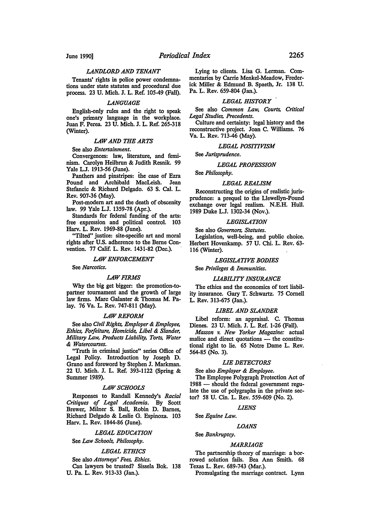## *LANDLORD AND TENANT*

Tenants' rights in police power condemnations under state statutes and procedural due process. 23 U. Mich. J. L. Ref. 105-49 (Fall).

#### *LANGUAGE*

English-only rules and the right to speak one's primary language in the workplace. Juan F. Perea. 23 U. Mich. J. L. Ref. 265-318 (Winter).

#### *LAW AND THE ARTS*

See also *Entertainment.* 

Convergences: law, literature, and feminism. Carolyn Heilbrun & Judith Resnik. 99 Yale L.J. 1913-56 (June).

Panthers and pinstripes: ihe case of Ezra Pound and Archibald MacLeish. Jean Stefancic & Richard Delgado. 63 S. Cal. L. Rev. 907-36 (May).

Post-modem art and the death of obscenity law. 99 Yale L.J. 1359-78 (Apr.).

Standards for federal funding of the arts: free expression and political control. 103 Harv. L. Rev. 1969-88 (June).

"Tilted" justice: site-specific art and moral rights after U.S. adherence to the Berne Convention. 77 Calif. L. Rev. 1431-82 (Dec.).

#### *LAW ENFORCEMENT*

See *Narcotics.* 

#### *LAW FIRMS*

Why the big get bigger: the promotion-topartner tournament and the growth of large law firms. Marc Galanter & Thomas M. Palay. 76 Va. L. Rev. 747-811 (May).

#### *LAW REFORM*

See also *Civil Rights, Employer* & *Employee, Ethics, Foifeiture, Homicide, Libel* & *Slander, Military Law, Products Liability, Torts, Water*  & *Watercourses.* 

"Truth in criminal justice" series Office of Legal Policy. Introduction by Joseph D. Grano and foreword by Stephen J. Markman. 22 U. Mich. J. L. Ref. 393-1122 (Spring & Summer 1989).

#### *LAW SCHOOLS*

Responses to Randall Kennedy's *Racial Critiques of Legal Academia.* By Scott Brewer, Milner S. Ball, Robin D. Barnes, Richard Delgado & Leslie G. Espinoza. 103 Harv. L. Rev. 1844-86 (June).

*LEGAL EDUCATION* 

## See *Law Schools, Philosophy.*

#### *LEGAL ETHICS*

See also *Attorneys' Fees, Ethics.* 

Can lawyers be trusted? Sissela Bok. 138 U. Pa. L. Rev. 913-33 (Jan.).

Lying to clients. Lisa G. Lerman. Commentaries by Carrie Menkel-Meadow, Frederick Miller & Edmund B. Spaeth, Jr. 138 U. Pa. L. Rev. 659-804 (Jan.).

#### *LEGAL HISTORY*

See also *Common Law, Courts, Critical Legal Studies, Precedents.* 

Culture and certainty: legal history and the reconstructive project. Joan C. Williams. 76 Va. L. Rev. 713-46 (May).

## *LEGAL POSITIVISM*

See *Jurisprudence.* 

#### *LEGAL PROFESSION*

See *Philosophy.* 

#### *LEGAL REALISM*

Reconstructing the origins of realistic jurisprudence: a prequel to the Llewellyn-Pound exchange over legal realism. N.E.H. Hull. 1989 Duke L.J. 1302-34 (Nov.).

## *LEGISLATION*

See also *Governors, Statutes.*  Legislation, well-being, and public choice. Herbert Hovenkamp. 57 U. Chi. L. Rev. 63- 116 (Winter).

#### *LEGISLATIVE BODIES*

See *Privileges* & *Immunities.* 

#### *LIABILITY INSURANCE*

The ethics and the economics of tort liability insurance. Gary T. Schwartz. 75 Cornell L. Rev. 313-675 (Jan.).

#### *LIBEL AND SLANDER*

Libel reform: an appraisal. C. Thomas Dienes. 23 U. Mich. J. L. Ref. 1-26 (Fall).

*Masson v. New Yorker Magazine:* actual malice and direct quotations - the constitutional right to lie. 65 Notre Dame L. Rev. 564-85 (No. 3).

#### *LIE DETECTORS*

See also *Employer* & *Employee.* 

The Employee Polygraph Protection Act of 1988 - should the federal government regulate the use of polygraphs in the private sector? 58 U. Cin. L. Rev. 559-609 (No. 2).

*LIENS* 

See *Equine Law.* 

#### *LOANS*

See *Bankruptcy.* 

#### *MARRIAGE*

The partnership theory of marriage: a borrowed solution fails. Bea Ann Smith. 68 Texas L. Rev. 689-743 (Mar.).

Promulgating the marriage contract. Lynn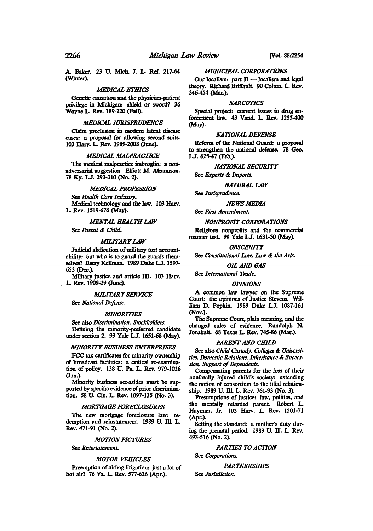A. Baker. 23 u. Mich. J. L. Ref. 217-64 (W'mter).

#### *MEDICAL ETHICS*

Genetic causation and the physician·patient privilege in Michigan: shield or sword? 36 Wayne L. Rev. 189·220 (Fall).

#### *MEDICAL JURISPRUDENCE*

Claim preclusion in modem latent disease cases: a proposal for allowing second suits. 103 Harv. L. Rev. 1989·2008 (June).

#### *MEDICAL MALPRACTICE*

The medical malpractice imbroglio: a non· adversarial suggestion. Eliott M. Abramson. 78 Ky. L.J. 293-310 (No. 2).

### *MEDICAL PROFESSION*

See *Health Care Industry.*  Medical technology and the Jaw. 103 Harv. L. Rev. 1519.676 (May).

## **MENTAL HEALTH LAW**

See *Parent* & *Child.* 

## **MILITARY LAW**

Judicial abdication of military tort account· ability: but who is to guard the guards them· selves? Barry Kellman. 1989 Duke L.J. 1597-653 (Dec.).

Military justice and article III. 103 Harv. L. Rev. 1909·29 (June).

#### *MILITARY SERYICE*

See *National Defense.* 

#### *MINORITIES*

See also *Discrimination, Stockholders.*  Defining the minority·preferred candidate under section 2. 99 Yale L.J. 1651-68 (May).

#### *MINORITY BUSINESS ENTERPRISES*

FcC tax certificates for minority ownership of broadcast facilities: a critical re-examination of policy. 138 U. Pa. L. Rev. 979·1026 (Jan.).

Minority business set-asides must be supported by specific evidence of prior discrimina· tion. *58* U. Cin. L. Rev. 1097·135 (No. 3).

#### *MORTGAGE FORECLOSURES*

The new mortgage foreclosure law: redemption and reinstatement. 1989 U. Ill. L. Rev. 471.91 (No. 2).

#### *MOTION PICTURES*

See *Entertainment.* 

## *MOTOR VEHICLES*

Preemption of airbag litigation: just a lot of hot air? 76 Va. L. Rev. 577.626 (Apr.).

#### *MUNICIPAL CORPORATIONS*

Our localism: part  $II$  - localism and legal theory. Richard Briffault. 90 Colum. L. Rev. 346454 (Mar.).

#### *NARCOTICS*

Special project: current issues in drug en· forcement law. 43 Vand. L. Rev. 125S-400 (May).

#### *NATIONAL DEFENSE*

Reform of the National Guard: a proposal to strengthen the national defense. 78 Geo. LJ. *62541* (Feb.).

*NATIONAL SECURITY* 

See *Exports* & *Imports.* 

#### **NATURAL LAW**

See *Jurisprudence.* 

#### *NEWS MEDIA.*

See *First Amendment.* 

#### *NONPROFIT CORPORATIONS*

Religious nonprofits and the commercial manner test. 99 Yale LJ. 1631·50 (May).

#### *OBSCENITY*

See *Canstitutional Law,* Law & *the Arts.* 

#### **OIL AND GAS**

See *International Trade.* 

#### *OPINIONS*

A common law lawyer on the Supreme Court: the opinions of Justice Stevens. William D. Popkin. 1989 Duke LJ. 1087·161 (Nov.).

The Supreme Court, plain meaning, and the changed rules of evidence. Randolph N. Jonakait. 68 Texas L. Rev. 745-86 (Mar.).

#### **PARENT AND CHILD**

See also *Child Custody, Calleges* & *Universi· ties, Domestic Relations. Inheritance* & *Succes· sion, Support of Dependents.* 

Compensating parents for the loss of their nonfatally injured child's society: extending the notion of consortium to the filial relation· ship. 1989 U. Ill. L. Rev. 761·93 (No. 3).

Presumptions of justice: law, politics, and the mentally retarded parent. Robert L. Hayman. Jr. 103 Harv. L. Rev. 120J.71 (Apr.).

Setting the standard: a mother's duty dur· ing the prenatal period. 1989 U. Ill. L. Rev. 493·516 (No. 2).

#### *PARTIES TO ACTION*

See *Carporations.* 

#### *PARTNERSHIPS*

See *Jurisdiction.*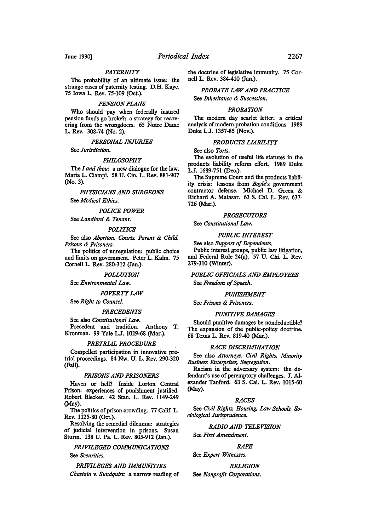## *PATERNITY*

The probability of an ultimate issue: the strange cases of paternity testing. D.H. Kaye. 75 Iowa L. Rev. 75-109 (Oct.).

#### *PENSION PLANS*

Who should pay when federally insured pension funds go broke?: a strategy for recovering from the wrongdoers. 65 Notre Dame L. Rev. 308-74 (No. 2).

#### *PERSONAL INJURIES*

See *Jurisdiction.* 

#### *PHILOSOPHY*

The *I and thou:* a new dialogue for the law. Maria L. Ciampi. 58 U. Cin. L. Rev. 881-907 (No. 3).

*PHYSICIANS AND SURGEONS* 

See *Medical Ethics.* 

*POLICE POWER* 

See *Landlord* & *Tenant.* 

#### *POLITICS*

See also *Abortion. Courts, Parent* & *Child, Prisons* & *Prisoners.* 

The politics of unregulation: public choice and limits on government. Peter L. Kahn. 75 Cornell L. Rev. 280-312 (Jan.).

#### *POLLUTION*

See *Environmental Law.* 

#### *POVERTY LAW*

See *Right to Counsel.* 

#### *PRECEDENTS*

See also *Constitutional Law.*  Precedent and tradition. Anthony T. Kronman. 99 Yale L.J. 1029-68 (Mar.).

#### *PRETRIAL PROCEDURE*

Compelled participation in innovative pretrial proceedings. 84 Nw. U. L. Rev. 290-320 (Fall).

#### *PRISONS AND PRISONERS*

Haven or hell? Inside Lorton Central Prison: experiences of punishment justified. Robert Blecker. 42 Stan. L. Rev. 1149-249 (May).

The politics of prison crowding. 77 Calif. L. Rev. 1125-80 (Oct.).

Resolving tbe remedial dilemma: strategies of judicial intervention in prisons. Susan Sturm. 138 U. Pa. L. Rev. 805-912 (Jan.).

## *PRIVILEGED COMMUNICATIONS*

## See *Securities.*

*PRIVILEGES AND IMMUNITIES Chastain v. Sundquist:* a narrow reading of tbe doctrine of legislative immunity. 75 Cornell L. Rev. 384-410 (Jan.).

## *PROBATE LAW AND PRACTICE*  See *Inheritance* & *Succession.*

#### *PROBATION*

The modem day scarlet letter: a critical analysis of modem probation conditions. 1989 Duke L.J. 1357-85 (Nov.).

#### *PRODUCTS LIABILITY*

See also *Torts.* 

The evolution of useful life statutes in tbe products liability reform effort. 1989 Duke L.J. 1689-751 (Dec.).

The Supreme Court and the products liability crisis: lessons from *Boyle's* government contractor defense. Michael D. Green & Richard A. Matasar. 63 S. Cal. L. Rev. 637- 726 (Mar.).

## *PROSECUTORS*

See *Constitutional Law.* 

#### *PUBLIC INTEREST*

See also *Support of Dependents.*  Public interest groups, public law litigation, and Federal Rule 24(a). 57 U. Chi. L. Rev. 279-310 (Winter).

## *PUBLIC OFFICIALS AND EMPLOYEES*  See *Freedom of Speech.*

#### *PUNISHMENT*

#### See *Prisons* & *Prisoners.*

#### *PUNITIVE DAMAGES*

Should punitive damages be nondeductible? The expansion of the public-policy doctrine. 68 Texas L. Rev. 819-40 (Mar.).

#### *RACE DISCRIMINATION*

See also *Attorneys, Civil Rights, Minority Business Enterprises, Segregation.* 

Racism in the adversary system: the defendant's use of peremptory challenges. J. Alexander Tanford. 63 S. Cal. L. Rev. 1015-60 (May).

## *Rt1,CES*

See *Civil Rights, Housing, Law Schools, Sociological Jurisprudence.* 

#### *RADIO AND TELEVISION*

See *First Amendment.* 

#### *RAPE*

See *Expert Witnesses.* 

#### *RELIGION*

See *Nonprofit Corporations.*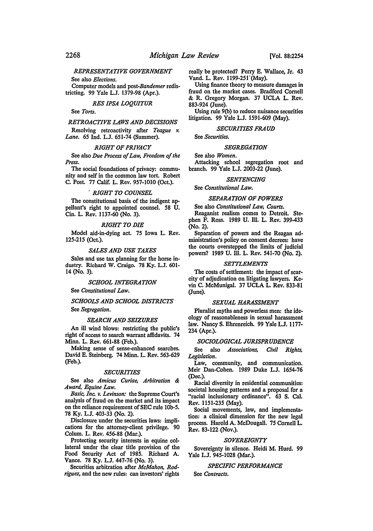## *REPRESENTATIVE GOVERNMENT*

See also *Elections.* 

Computer models and *post-Bandemer* redistricting. 99 Yale L.J. 1379-98 (Apr.).

## *RES IPSA LOQUITUR*

See *Torts.* 

#### *RETROACTIVE LAWS AND DECISIONS*

Resolving retroactivity after *Teague v. Lane.* 65 Ind. LJ. 651-74 (Summer).

#### *RIGHT OF PRIVACY*

See also *Due Process of Law, Freedom of the Press.* 

The social foundations of privacy: community and self in the common law tort. Robert C. Post. 77 Calif. L. Rev. 957-1010 (Oct.).

#### . *RIGHT TO COUNSEL*

The constitutional basis of the indigent appellant's right to appointed counsel. 58 U. Cin. L. Rev. 1137-60 (No. 3).

#### *RIGHT TO DIE*

Model aid-in-dying act. 75 Iowa L. Rev. 125-215 (Oct.).

#### *SALES AND USE TAXES*

Sales and use tax planning for the horse industry. Richard W. Craigo. 78 Ky. L.J. 601- 14 (No. 3).

#### *SCHOOL INTEGRATION*

See *Constitutional Law.* 

## *SCHOOLS AND SCHOOL DISTRICTS*  See *Segregation.*

#### *SEARCH AND SEIZURES*

An ill wind blows: restricting the public's right of access to search warrant affidavits. 74 Minn. L. Rev. 661-88 {Feb.).

Making sense of sense-enhanced searches. David E. Steinberg. 74 Minn. L. Rev. 563-629 (Feb.).

#### *SECURITIES*

See also *Amicus Curiae, Arbitration* & *Award, Equine Law.* 

*Basic, Inc. v. Levinson:* the Supreme Court's analysis of fraud on the market and its impact on the reliance requirement of SEC rule lOb-5. 78 Ky. L.J. 403-33 (No. 2).

Disclosure under the securities laws: implications for the attorney-client privilege. 90 Colum. L. Rev. 456-88 (Mar.).

Protecting security interests in equine collateral under the clear title provision of the Food Security Act of 1985. Richard A. Vance. 78 Ky. L.J. 447-76 (No. 3).

Securities arbitration after *McMahon, Rodriguez,* and the new rules: can investors' rights really be protected? Perry E. Wallace, Jr. 43 Vand. L. Rev. 1199-251 '(May).

Using finance theory to measure damages in fraud on the market cases. Bradford Cornell & R. Gregory Morgan. 37 UCLA L. Rev. 883-924 (June).

Using rule 9(b) to reduce nuisance securities litigation. 99 Yale L.J. 1591-609 (May).

## *SECURITIES FRAUD*

See *Securities.* 

#### *SEGREGATION*

See also *Women.* 

Attacking school segregation root and branch. 99 Yale L.J. 2003-22 (June).

## *SENTENCING*

#### See *Constitutional Law*.

#### *SEPARATION OF POWERS*

See also *Constitutional Law, Courts.* 

Reaganist realism comes to Detroit. Stephen F. Ross. 1989 U. Ill. L. Rev. 399-433 (No. 2).

Separation of powers and the Reagan administration's policy on consent decrees: have the courts overstepped the limits of judicial powers? 1989 U. Ill. L. Rev. 541-70 (No. 2).

#### *SETTLEMENTS*

The costs of settlement: the impact of scarcity of adjudication on litigating lawyers. Kevin C. McMunigal. 37 UCLA L. Rev. 833-81 (June).

#### *SEXUAL HARASSMENT*

Pluralist myths and powerless men: the ideology of reasonableness in sexual harassment law. Nancy S. Ehrenreich. 99 Yale L.J. 1177- 234 {Apr.).

#### *SOCIOLOGICAL JURISPRUDENCE*

See also *Associations, Civil Rights, Legislation.* 

Law, community, and communication. Meir Dan-Cohen. 1989 Duke L.J. 1654-76 (Dec.).

Racial diversity in residential communities: societal housing patterns and a proposal for a "racial inclusionary ordinance". 63 S. Cal. Rev. 1151-235 (May).

Social movements, law, and implementation: a clinical dimension for the new legal process. Harold A. McDougall. 75 Cornell L. Rev. 83-122 (Nov.).

#### *SOVEREIGNTY*

Sovereignty in silence. Heidi M. Hurd. 99 Yale L.J. 945-1028 (Mar.).

## *SPECIFIC PERFORMANCE*

See *Contracts.*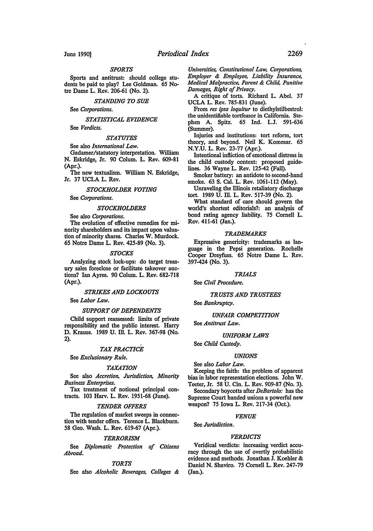#### *SPORTS*

Sports and antitrust: should college students be paid to play? Lee Goldman. 65 Notre Dame L. Rev. 206-61 (No. 2).

#### *STANDING TO SUE*

See *Corporations.* 

*STATISTICAL EVIDENCE* 

See *Verdicts.* 

## *STATUTES*

See also *International Law.* 

Gadamer/statutory interpretation. William N. Eskridge, Jr. 90 Colum. L. Rev. 609-81 (Apr.).

The new textualism. William N. Eskridge, Jr. 37 UCLA L. Rev.

#### *STOCKHOLDER VOTING*

See *Corporations.* 

#### *STOCKHOLDERS*

See also *Corporations.* 

The evolution of effective remedies for minority shareholders and its impact upon valuation of minority shares. Charles W. Murdock. 65 Notre Dame L. Rev. 425-89 (No. 3).

#### *STOCKS*

Analyzing stock lock-ups: do target treasury sales foreclose or facilitate takeover auctions? Ian Ayres. 90 Colum. L. Rev. 682-718 (Apr.).

#### *STRIKES AND LOCKOUTS*

See *Labor Law.* 

#### *SUPPORT OF DEPENDENTS*

Child support reassessed: limits of private responsibility and the public interest. Harry D. Krause. 1989 U. Ill. L. Rev. 367-98 (No. 2).

#### *TAX PRACTICE*

See *Exclusionary Rule.* 

#### *TAXATION*

See also *Accretion, Jurisdiction, Minority Business Enterprises.* 

Tax treatment of notional principal contracts. 103 Harv. L. Rev. 1951-68 (June).

#### *TENDER OFFERS*

The regulation of market sweeps in connection with tender offers. Terence L. Blackburn. 58 Geo. Wash. L. Rev. 619-67 (Apr.).

#### *TERRORISM*

See *Diplomatic Protection of Citizens Abroad.* 

## *TORTS*

See also *Alcoholic Beverages, Colleges* &

*Universities, Constitutional Law, Corporations, Employer* & *Employee, Liability Insurance, Medical Malpractice, Parent* & *Child, Punitive Damages, Right of Privacy.* 

A critique of torts. Richard L. Abel. 37 UCLA L. Rev. 785-831 (June).

From *res ipsa /oquitur* to diethylstilbestrol: the unidentifiable tortfeasor in California. Stephen A. Spitz. 65 Ind. L.J. 591-636 (Summer).

Injuries and institutions: tort reform, tort theory, and beyond. Neil K. Komesar. 65 N.Y.U. L. Rev. 23-77 (Apr.).

Intentional infliction of emotional distress in the child custody context: proposed guidelines. 36 Wayne L. Rev. 125-42 (Fall).

Smoker battery: an antidote to second-hand smoke. 63 S. Cal. L. Rev. 1061-112 (May).

Unraveling the Illinois retaliatory discharge tort. 1989 U. Ill. L. Rev. 517-39 (No. 2).

What standard of care should govern the world's shortest editorials?: an analysis of bond rating agency liability. 75 Cornell L. Rev. 411-61 (Jan.).

#### *TRADEMARKS*

Expressive genericity: trademarks as language in the Pepsi generation. Rochelle Cooper Dreyfuss. 65 Notre Dame L. Rev. 397-424 (No. 3).

#### *TRIALS*

See *Civil Procedure.* 

#### *TRUSTS AND TRUSTEES*

See *Bankruptcy.* 

#### *UNFAIR COMPETITION*

See *Antitrust Law.* 

## *UNIFORM LAWS*

See *Child Custody.* 

#### *UNIONS*

## See also *Labor Law.*

Keeping the faith: the problem of apparent bias in labor representation elections. John W. Teeter, Jr. 58 U. Cin. L. Rev. 909-87 (No. 3).

Secondary boycotts after *DeBartolo:* has the Supreme Court handed unions a powerful new weapon? 75 Iowa L. Rev. 217-34 (Oct.).

#### *VENUE*

See *Jurisdiction.* 

#### *VERDICTS*

Veridical verdicts: increasing verdict accuracy through the use of overtly probabilistic evidence and methods. Jonathan J. Koehler & Daniel N. Shaviro. 75 Cornell L. Rev. 247-79 (Jan.).